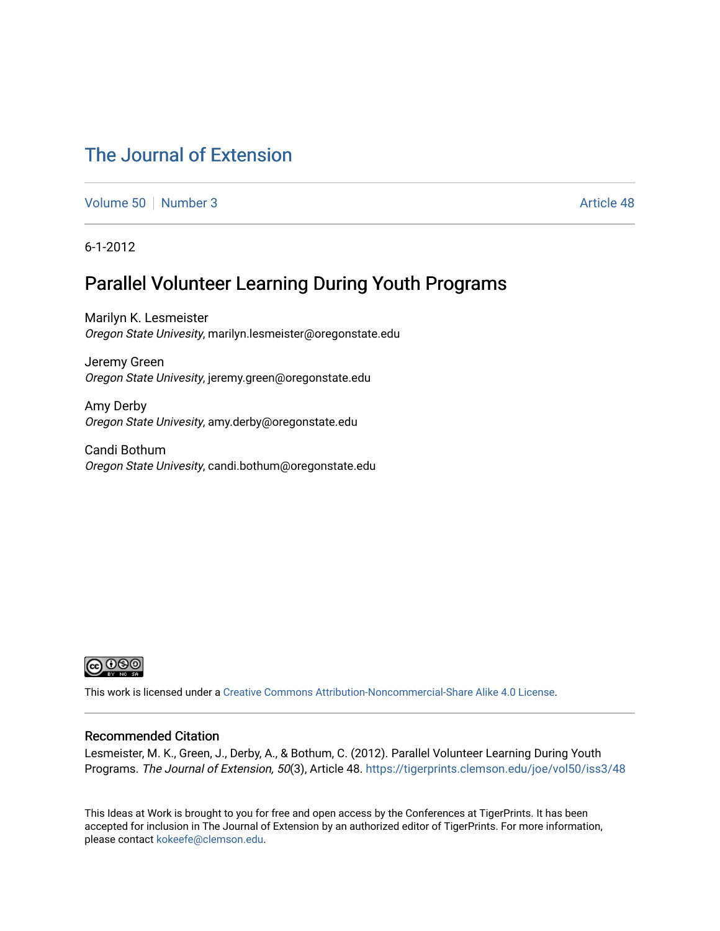# [The Journal of Extension](https://tigerprints.clemson.edu/joe)

[Volume 50](https://tigerprints.clemson.edu/joe/vol50) [Number 3](https://tigerprints.clemson.edu/joe/vol50/iss3) Article 48

6-1-2012

# Parallel Volunteer Learning During Youth Programs

Marilyn K. Lesmeister Oregon State Univesity, marilyn.lesmeister@oregonstate.edu

Jeremy Green Oregon State Univesity, jeremy.green@oregonstate.edu

Amy Derby Oregon State Univesity, amy.derby@oregonstate.edu

Candi Bothum Oregon State Univesity, candi.bothum@oregonstate.edu



This work is licensed under a [Creative Commons Attribution-Noncommercial-Share Alike 4.0 License.](https://creativecommons.org/licenses/by-nc-sa/4.0/)

### Recommended Citation

Lesmeister, M. K., Green, J., Derby, A., & Bothum, C. (2012). Parallel Volunteer Learning During Youth Programs. The Journal of Extension, 50(3), Article 48.<https://tigerprints.clemson.edu/joe/vol50/iss3/48>

This Ideas at Work is brought to you for free and open access by the Conferences at TigerPrints. It has been accepted for inclusion in The Journal of Extension by an authorized editor of TigerPrints. For more information, please contact [kokeefe@clemson.edu](mailto:kokeefe@clemson.edu).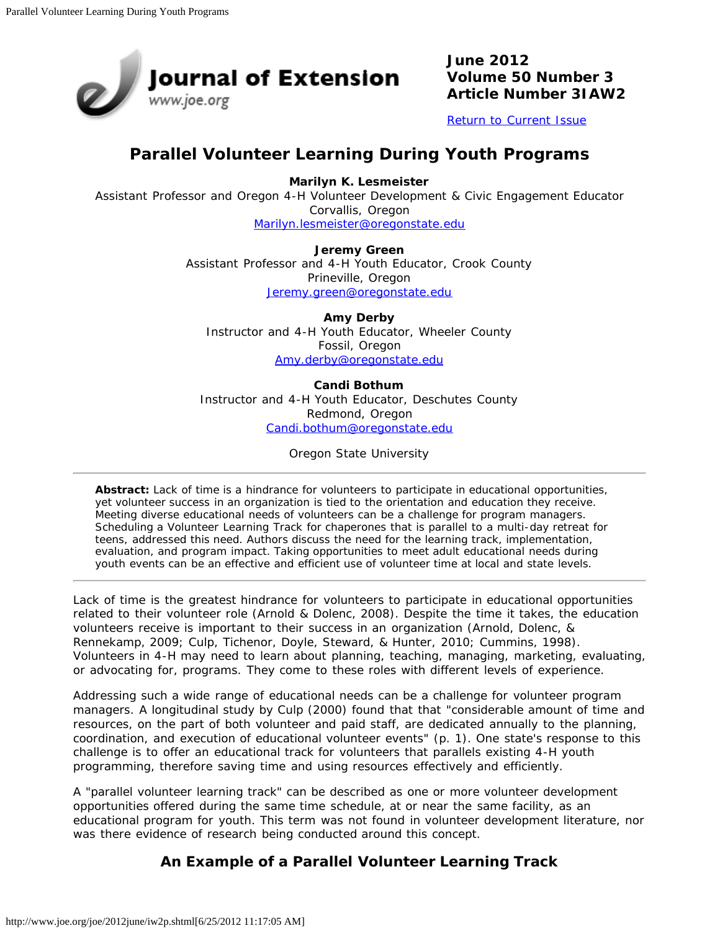

**June 2012 Volume 50 Number 3 Article Number 3IAW2**

[Return to Current Issue](http://www.joe.org/joe/2012june/)

# **Parallel Volunteer Learning During Youth Programs**

**Marilyn K. Lesmeister**

Assistant Professor and Oregon 4-H Volunteer Development & Civic Engagement Educator Corvallis, Oregon

[Marilyn.lesmeister@oregonstate.edu](mailto:Marilyn.lesmeister@oregonstate.edu)

**Jeremy Green** Assistant Professor and 4-H Youth Educator, Crook County Prineville, Oregon [Jeremy.green@oregonstate.edu](mailto:Jeremy.green@oregonstate.edu)

**Amy Derby** Instructor and 4-H Youth Educator, Wheeler County Fossil, Oregon [Amy.derby@oregonstate.edu](mailto:Amy.derby@oregonstate.edu)

#### **Candi Bothum**

Instructor and 4-H Youth Educator, Deschutes County Redmond, Oregon [Candi.bothum@oregonstate.edu](mailto:Candi.bothum@oregonstate.edu)

Oregon State University

*Abstract: Lack of time is a hindrance for volunteers to participate in educational opportunities, yet volunteer success in an organization is tied to the orientation and education they receive. Meeting diverse educational needs of volunteers can be a challenge for program managers. Scheduling a Volunteer Learning Track for chaperones that is parallel to a multi-day retreat for teens, addressed this need. Authors discuss the need for the learning track, implementation, evaluation, and program impact. Taking opportunities to meet adult educational needs during youth events can be an effective and efficient use of volunteer time at local and state levels.*

Lack of time is the greatest hindrance for volunteers to participate in educational opportunities related to their volunteer role (Arnold & Dolenc, 2008). Despite the time it takes, the education volunteers receive is important to their success in an organization (Arnold, Dolenc, & Rennekamp, 2009; Culp, Tichenor, Doyle, Steward, & Hunter, 2010; Cummins, 1998). Volunteers in 4-H may need to learn about planning, teaching, managing, marketing, evaluating, or advocating for, programs. They come to these roles with different levels of experience.

Addressing such a wide range of educational needs can be a challenge for volunteer program managers. A longitudinal study by Culp (2000) found that that "considerable amount of time and resources, on the part of both volunteer and paid staff, are dedicated annually to the planning, coordination, and execution of educational volunteer events" (p. 1). One state's response to this challenge is to offer an educational track for volunteers that parallels existing 4-H youth programming, therefore saving time and using resources effectively and efficiently.

A "parallel volunteer learning track" can be described as one or more volunteer development opportunities offered during the same time schedule, at or near the same facility, as an educational program for youth. This term was not found in volunteer development literature, nor was there evidence of research being conducted around this concept.

# **An Example of a Parallel Volunteer Learning Track**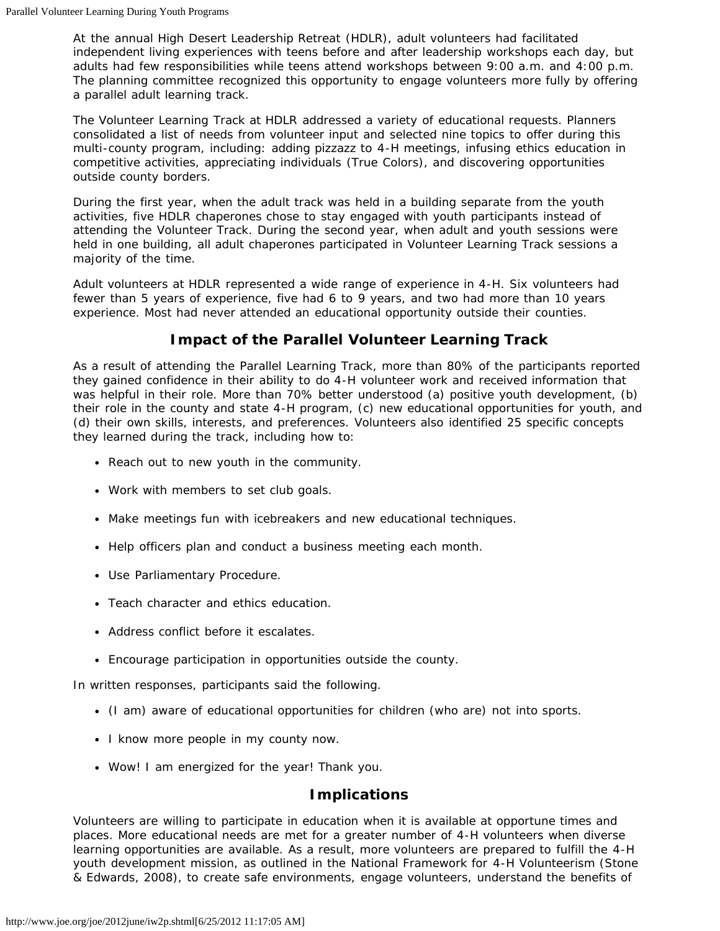At the annual High Desert Leadership Retreat (HDLR), adult volunteers had facilitated independent living experiences with teens before and after leadership workshops each day, but adults had few responsibilities while teens attend workshops between 9:00 a.m. and 4:00 p.m. The planning committee recognized this opportunity to engage volunteers more fully by offering a parallel adult learning track.

The Volunteer Learning Track at HDLR addressed a variety of educational requests. Planners consolidated a list of needs from volunteer input and selected nine topics to offer during this multi-county program, including: adding pizzazz to 4-H meetings, infusing ethics education in competitive activities, appreciating individuals (True Colors), and discovering opportunities outside county borders.

During the first year, when the adult track was held in a building separate from the youth activities, five HDLR chaperones chose to stay engaged with youth participants instead of attending the Volunteer Track. During the second year, when adult and youth sessions were held in one building, all adult chaperones participated in Volunteer Learning Track sessions a majority of the time.

Adult volunteers at HDLR represented a wide range of experience in 4-H. Six volunteers had fewer than 5 years of experience, five had 6 to 9 years, and two had more than 10 years experience. Most had never attended an educational opportunity outside their counties.

# **Impact of the Parallel Volunteer Learning Track**

As a result of attending the Parallel Learning Track, more than 80% of the participants reported they gained confidence in their ability to do 4-H volunteer work and received information that was helpful in their role. More than 70% better understood (a) positive youth development, (b) their role in the county and state 4-H program, (c) new educational opportunities for youth, and (d) their own skills, interests, and preferences. Volunteers also identified 25 specific concepts they learned during the track, including how to:

- Reach out to new youth in the community.
- Work with members to set club goals.
- Make meetings fun with icebreakers and new educational techniques.
- Help officers plan and conduct a business meeting each month.
- Use Parliamentary Procedure.
- Teach character and ethics education.
- Address conflict before it escalates.
- Encourage participation in opportunities outside the county.

In written responses, participants said the following.

- (I am) aware of educational opportunities for children (who are) not into sports.
- I know more people in my county now.
- Wow! I am energized for the year! Thank you.

## **Implications**

Volunteers are willing to participate in education when it is available at opportune times and places. More educational needs are met for a greater number of 4-H volunteers when diverse learning opportunities are available. As a result, more volunteers are prepared to fulfill the 4-H youth development mission, as outlined in the *National Framework for 4-H Volunteerism* (Stone & Edwards, 2008), to create safe environments, engage volunteers, understand the benefits of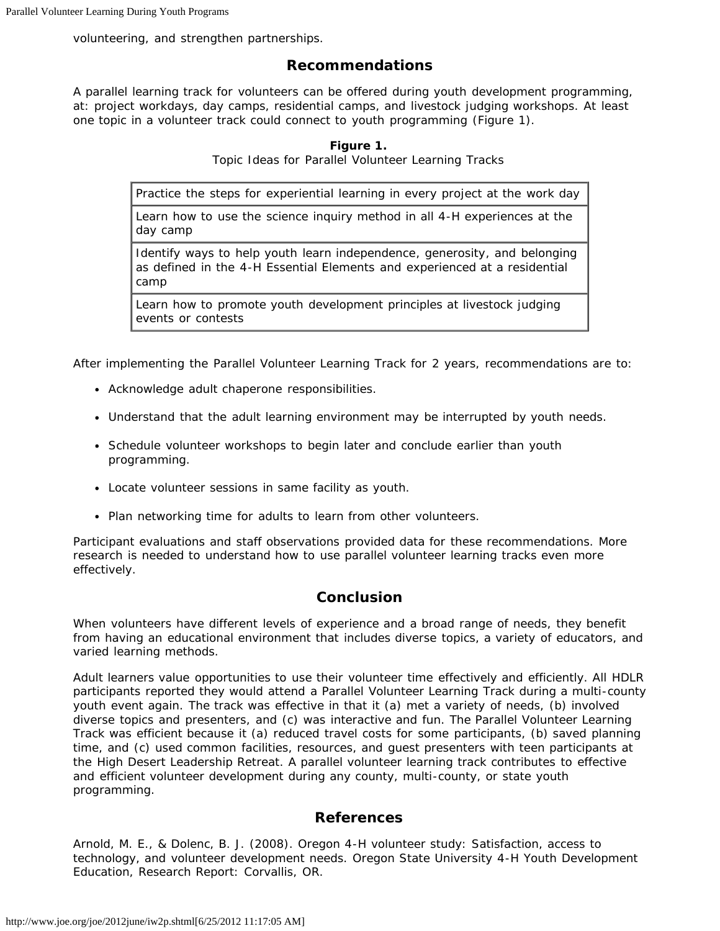volunteering, and strengthen partnerships.

## **Recommendations**

A parallel learning track for volunteers can be offered during youth development programming, at: project workdays, day camps, residential camps, and livestock judging workshops. At least one topic in a volunteer track could connect to youth programming (Figure 1).

#### **Figure 1.**

Topic Ideas for Parallel Volunteer Learning Tracks

Practice the steps for experiential learning in every project at the work day

Learn how to use the science inquiry method in all 4-H experiences at the day camp

Identify ways to help youth learn *independence*, *generosity*, and *belonging* as defined in the *4-H Essential Elements* and experienced at a residential camp

Learn how to promote youth development principles at livestock judging events or contests

After implementing the Parallel Volunteer Learning Track for 2 years, recommendations are to:

- Acknowledge adult chaperone responsibilities.
- Understand that the adult learning environment may be interrupted by youth needs.
- Schedule volunteer workshops to begin later and conclude earlier than youth programming.
- Locate volunteer sessions in same facility as youth.
- Plan networking time for adults to learn from other volunteers.

Participant evaluations and staff observations provided data for these recommendations. More research is needed to understand how to use parallel volunteer learning tracks even more effectively.

## **Conclusion**

When volunteers have different levels of experience and a broad range of needs, they benefit from having an educational environment that includes diverse topics, a variety of educators, and varied learning methods.

Adult learners value opportunities to use their volunteer time effectively and efficiently. All HDLR participants reported they would attend a Parallel Volunteer Learning Track during a multi-county youth event again. The track was effective in that it (a) met a variety of needs, (b) involved diverse topics and presenters, and (c) was interactive and fun. The Parallel Volunteer Learning Track was efficient because it (a) reduced travel costs for some participants, (b) saved planning time, and (c) used common facilities, resources, and guest presenters with teen participants at the High Desert Leadership Retreat. A parallel volunteer learning track contributes to effective and efficient volunteer development during any county, multi-county, or state youth programming.

## **References**

Arnold, M. E., & Dolenc, B. J. (2008). *Oregon 4-H volunteer study: Satisfaction, access to technology, and volunteer development needs.* Oregon State University 4-H Youth Development Education, Research Report: Corvallis, OR.